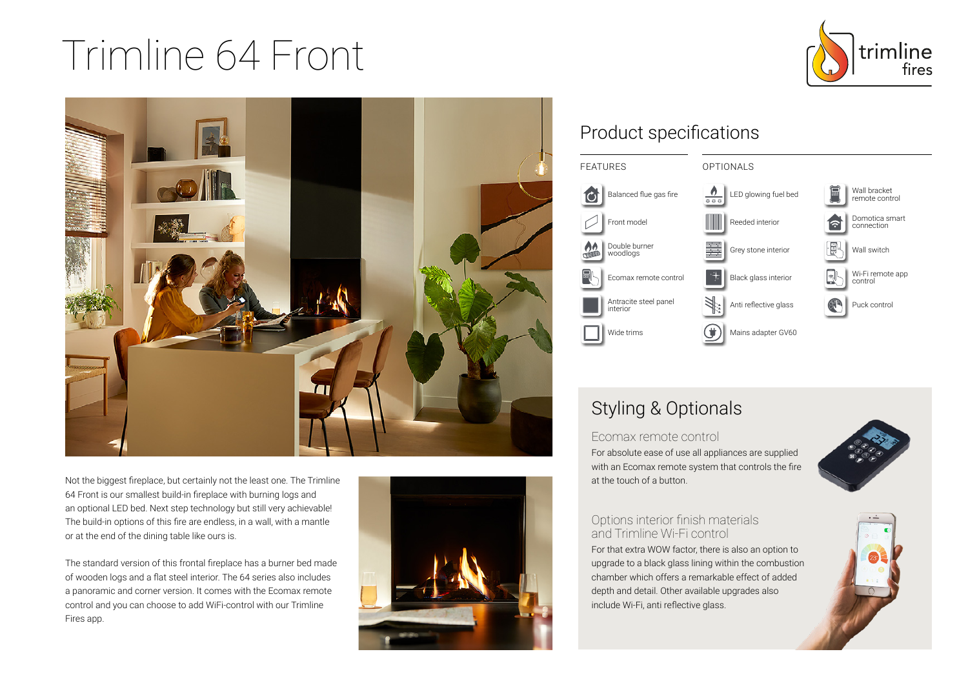# Trimline 64 Front





Not the biggest fireplace, but certainly not the least one. The Trimline 64 Front is our smallest build-in fireplace with burning logs and an optional LED bed. Next step technology but still very achievable! The build-in options of this fire are endless, in a wall, with a mantle or at the end of the dining table like ours is.

The standard version of this frontal fireplace has a burner bed made of wooden logs and a flat steel interior. The 64 series also includes a panoramic and corner version. It comes with the Ecomax remote control and you can choose to add WiFi-control with our Trimline Fires app.



## Product specifications



## Styling & Optionals

Ecomax remote control For absolute ease of use all appliances are supplied with an Ecomax remote system that controls the fire at the touch of a button.



#### Options interior finish materials and Trimline Wi-Fi control

For that extra WOW factor, there is also an option to upgrade to a black glass lining within the combustion chamber which offers a remarkable effect of added depth and detail. Other available upgrades also include Wi-Fi, anti reflective glass.